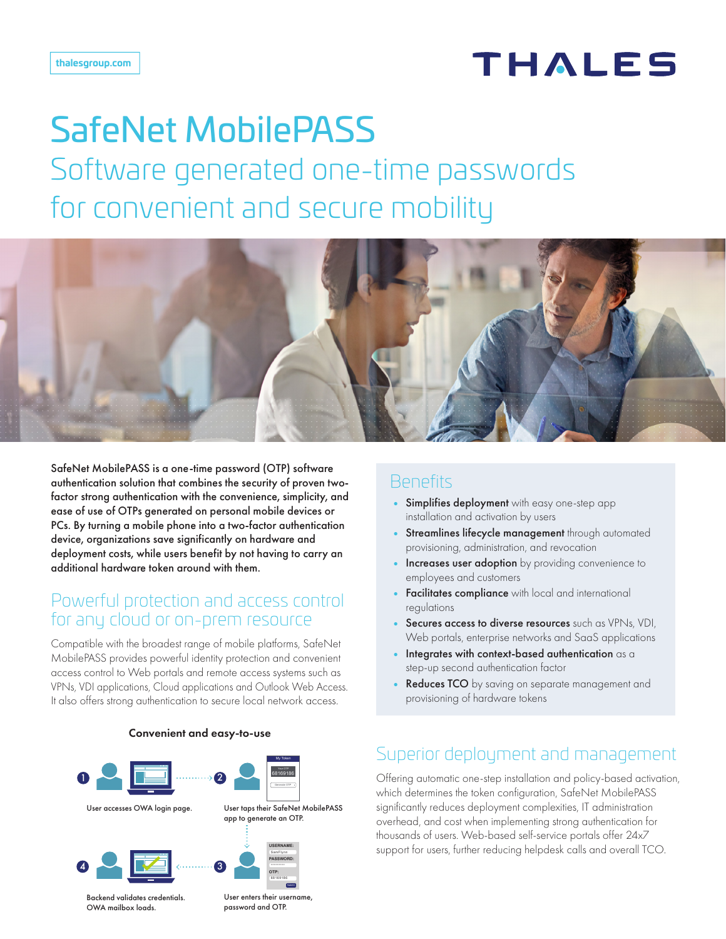## **THALES**

# SafeNet MobilePASS

Software generated one-time passwords for convenient and secure mobility



SafeNet MobilePASS is a one-time password (OTP) software authentication solution that combines the security of proven twofactor strong authentication with the convenience, simplicity, and ease of use of OTPs generated on personal mobile devices or PCs. By turning a mobile phone into a two-factor authentication device, organizations save significantly on hardware and deployment costs, while users benefit by not having to carry an additional hardware token around with them.

## Powerful protection and access control for any cloud or on-prem resource

Compatible with the broadest range of mobile platforms, SafeNet MobilePASS provides powerful identity protection and convenient access control to Web portals and remote access systems such as VPNs, VDI applications, Cloud applications and Outlook Web Access. It also offers strong authentication to secure local network access.

#### Convenient and easy-to-use



## **Benefits**

- Simplifies deployment with easy one-step app installation and activation by users
- Streamlines lifecycle management through automated provisioning, administration, and revocation
- Increases user adoption by providing convenience to employees and customers
- Facilitates compliance with local and international regulations
- Secures access to diverse resources such as VPNs, VDI, Web portals, enterprise networks and SaaS applications
- Integrates with context-based authentication as a step-up second authentication factor
- Reduces TCO by saving on separate management and provisioning of hardware tokens

## Superior deployment and management

Offering automatic one-step installation and policy-based activation, which determines the token configuration, SafeNet MobilePASS significantly reduces deployment complexities, IT administration overhead, and cost when implementing strong authentication for thousands of users. Web-based self-service portals offer 24x7 support for users, further reducing helpdesk calls and overall TCO.